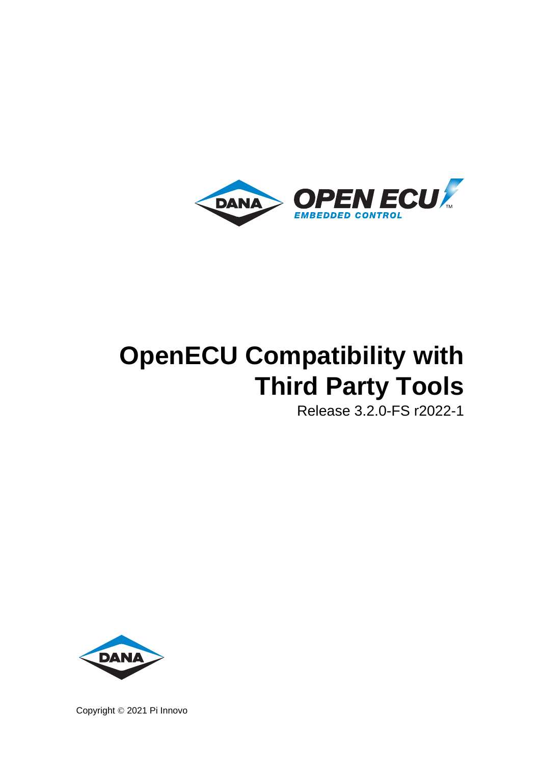

# **OpenECU Compatibility with Third Party Tools**

Release 3.2.0-FS r2022-1



Copyright © 2021 Pi Innovo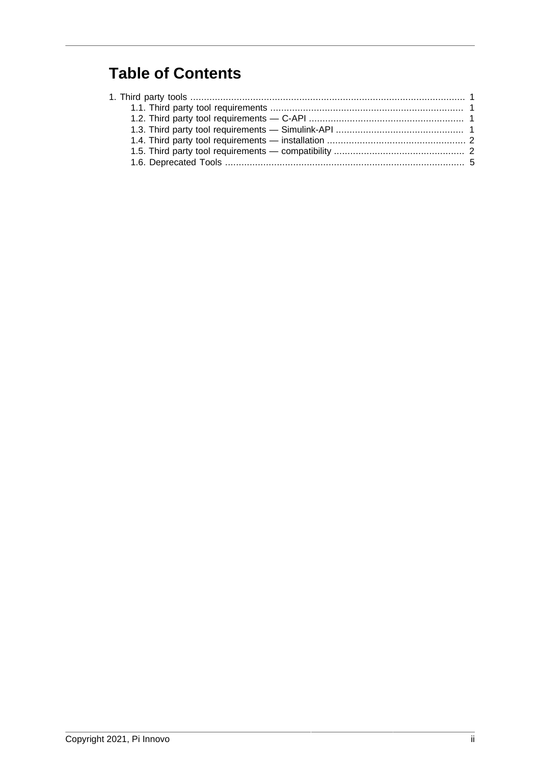### **Table of Contents**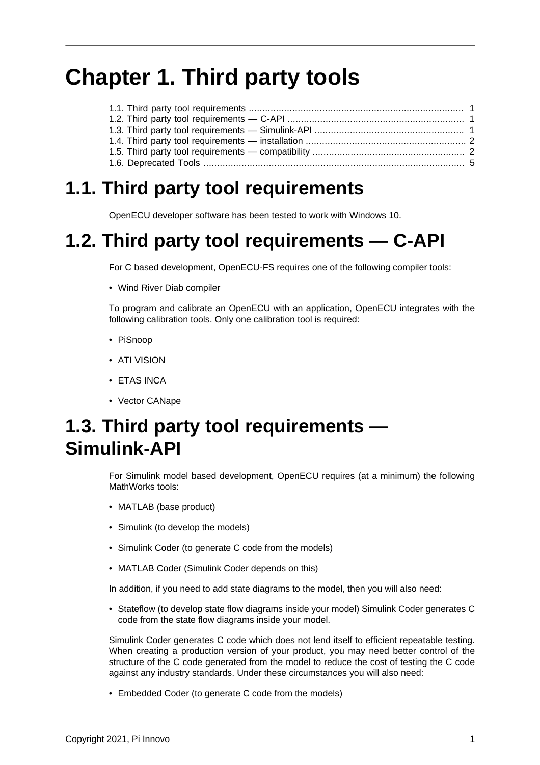## <span id="page-2-0"></span>**Chapter 1. Third party tools**

### <span id="page-2-1"></span>**1.1. Third party tool requirements**

OpenECU developer software has been tested to work with Windows 10.

### <span id="page-2-2"></span>**1.2. Third party tool requirements — C-API**

For C based development, OpenECU-FS requires one of the following compiler tools:

• Wind River Diab compiler

To program and calibrate an OpenECU with an application, OpenECU integrates with the following calibration tools. Only one calibration tool is required:

- PiSnoop
- ATI VISION
- ETAS INCA
- Vector CANape

### <span id="page-2-3"></span>**1.3. Third party tool requirements — Simulink-API**

For Simulink model based development, OpenECU requires (at a minimum) the following MathWorks tools:

- MATLAB (base product)
- Simulink (to develop the models)
- Simulink Coder (to generate C code from the models)
- MATLAB Coder (Simulink Coder depends on this)

In addition, if you need to add state diagrams to the model, then you will also need:

• Stateflow (to develop state flow diagrams inside your model) Simulink Coder generates C code from the state flow diagrams inside your model.

Simulink Coder generates C code which does not lend itself to efficient repeatable testing. When creating a production version of your product, you may need better control of the structure of the C code generated from the model to reduce the cost of testing the C code against any industry standards. Under these circumstances you will also need:

• Embedded Coder (to generate C code from the models)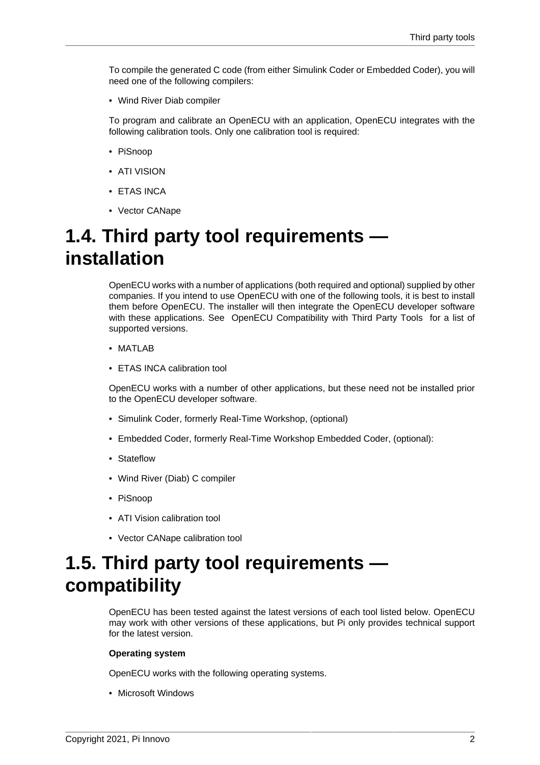To compile the generated C code (from either Simulink Coder or Embedded Coder), you will need one of the following compilers:

• Wind River Diab compiler

To program and calibrate an OpenECU with an application, OpenECU integrates with the following calibration tools. Only one calibration tool is required:

- PiSnoop
- ATI VISION
- ETAS INCA
- Vector CANape

### <span id="page-3-0"></span>**1.4. Third party tool requirements installation**

OpenECU works with a number of applications (both required and optional) supplied by other companies. If you intend to use OpenECU with one of the following tools, it is best to install them before OpenECU. The installer will then integrate the OpenECU developer software with these applications. See [OpenECU Compatibility with Third Party Tools](third_party_tool_compatibility.html#third_party_tools_e) for a list of supported versions.

- MATLAB
- ETAS INCA calibration tool

OpenECU works with a number of other applications, but these need not be installed prior to the OpenECU developer software.

- Simulink Coder, formerly Real-Time Workshop, (optional)
- Embedded Coder, formerly Real-Time Workshop Embedded Coder, (optional):
- Stateflow
- Wind River (Diab) C compiler
- PiSnoop
- ATI Vision calibration tool
- Vector CANape calibration tool

### <span id="page-3-1"></span>**1.5. Third party tool requirements compatibility**

OpenECU has been tested against the latest versions of each tool listed below. OpenECU may work with other versions of these applications, but Pi only provides technical support for the latest version.

#### **Operating system**

OpenECU works with the following operating systems.

• Microsoft Windows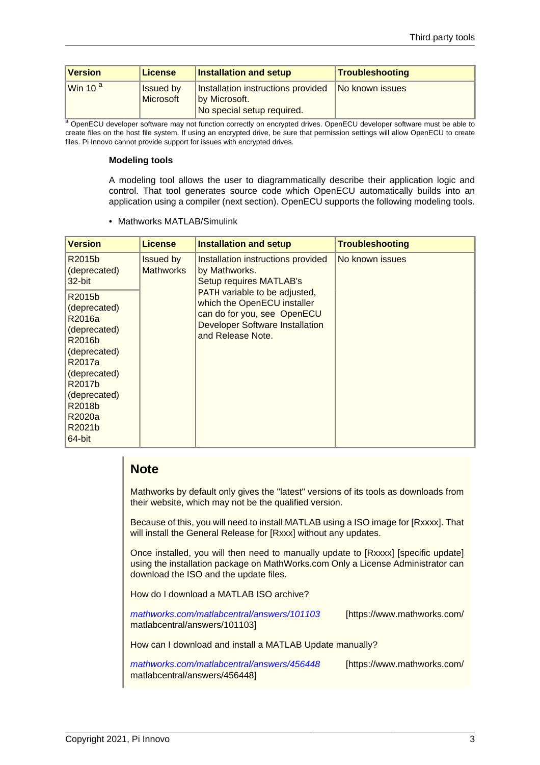| <b>Version</b>    | <b>License</b>                | <b>Installation and setup</b>                                                     | Troubleshooting |
|-------------------|-------------------------------|-----------------------------------------------------------------------------------|-----------------|
| Win 10 $^{\circ}$ | <b>Issued by</b><br>Microsoft | Installation instructions provided<br>by Microsoft.<br>No special setup required. | No known issues |

<sup>a</sup> OpenECU developer software may not function correctly on encrypted drives. OpenECU developer software must be able to create files on the host file system. If using an encrypted drive, be sure that permission settings will allow OpenECU to create files. Pi Innovo cannot provide support for issues with encrypted drives.

#### **Modeling tools**

A modeling tool allows the user to diagrammatically describe their application logic and control. That tool generates source code which OpenECU automatically builds into an application using a compiler (next section). OpenECU supports the following modeling tools.

• Mathworks MATLAB/Simulink

| <b>Version</b>                                                                                                                                                         | <b>License</b>                       | <b>Installation and setup</b>                                                                                                                              | <b>Troubleshooting</b> |
|------------------------------------------------------------------------------------------------------------------------------------------------------------------------|--------------------------------------|------------------------------------------------------------------------------------------------------------------------------------------------------------|------------------------|
| R2015b<br>(deprecated)<br>32-bit                                                                                                                                       | <b>Issued by</b><br><b>Mathworks</b> | Installation instructions provided<br>by Mathworks.<br><b>Setup requires MATLAB's</b>                                                                      | No known issues        |
| R2015b<br>(deprecated)<br>R2016a<br>(deprecated)<br>R2016b<br>(deprecated)<br>R2017a<br>(deprecated)<br>R2017b<br>(deprecated)<br>R2018b<br>R2020a<br>R2021b<br>64-bit |                                      | PATH variable to be adjusted,<br>which the OpenECU installer<br>can do for you, see OpenECU<br><b>Developer Software Installation</b><br>and Release Note. |                        |

#### **Note**

Mathworks by default only gives the "latest" versions of its tools as downloads from their website, which may not be the qualified version.

Because of this, you will need to install MATLAB using a ISO image for [Rxxxx]. That will install the General Release for [Rxxx] without any updates.

Once installed, you will then need to manually update to [Rxxxx] [specific update] using the installation package on MathWorks.com Only a License Administrator can download the ISO and the update files.

How do I download a MATLAB ISO archive?

[mathworks.com/matlabcentral/answers/101103](https://www.mathworks.com/matlabcentral/answers/101103) [[https://www.mathworks.com/](https://www.mathworks.com/matlabcentral/answers/101103) [matlabcentral/answers/101103\]](https://www.mathworks.com/matlabcentral/answers/101103)

How can I download and install a MATLAB Update manually?

[mathworks.com/matlabcentral/answers/456448](https://www.mathworks.com/matlabcentral/answers/456448) [[https://www.mathworks.com/](https://www.mathworks.com/matlabcentral/answers/456448) [matlabcentral/answers/456448\]](https://www.mathworks.com/matlabcentral/answers/456448)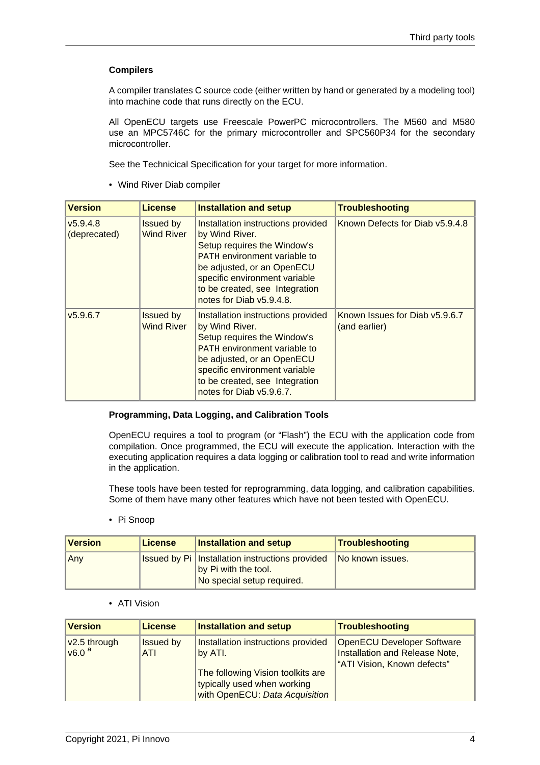#### **Compilers**

A compiler translates C source code (either written by hand or generated by a modeling tool) into machine code that runs directly on the ECU.

All OpenECU targets use Freescale PowerPC microcontrollers. The M560 and M580 use an MPC5746C for the primary microcontroller and SPC560P34 for the secondary microcontroller.

See the Technicical Specification for your target for more information.

• Wind River Diab compiler

| <b>Version</b>           | <b>License</b>                        | <b>Installation and setup</b>                                                                                                                                                                                                                           | <b>Troubleshooting</b>                          |
|--------------------------|---------------------------------------|---------------------------------------------------------------------------------------------------------------------------------------------------------------------------------------------------------------------------------------------------------|-------------------------------------------------|
| v5.9.4.8<br>(deprecated) | <b>Issued by</b><br><b>Wind River</b> | Installation instructions provided<br>by Wind River.<br>Setup requires the Window's<br><b>PATH</b> environment variable to<br>be adjusted, or an OpenECU<br>specific environment variable<br>to be created, see Integration<br>notes for Diab v5.9.4.8. | Known Defects for Diab v5.9.4.8                 |
| v5.9.6.7                 | <b>Issued by</b><br><b>Wind River</b> | Installation instructions provided<br>by Wind River.<br>Setup requires the Window's<br><b>PATH</b> environment variable to<br>be adjusted, or an OpenECU<br>specific environment variable<br>to be created, see Integration<br>notes for Diab v5.9.6.7. | Known Issues for Diab v5.9.6.7<br>(and earlier) |

#### **Programming, Data Logging, and Calibration Tools**

OpenECU requires a tool to program (or "Flash") the ECU with the application code from compilation. Once programmed, the ECU will execute the application. Interaction with the executing application requires a data logging or calibration tool to read and write information in the application.

These tools have been tested for reprogramming, data logging, and calibration capabilities. Some of them have many other features which have not been tested with OpenECU.

• Pi Snoop

| <b>Version</b> | License | <b>Installation and setup</b>                                                                                  | Troubleshooting  |
|----------------|---------|----------------------------------------------------------------------------------------------------------------|------------------|
| ∥Any           |         | <b>Issued by Pi   Installation instructions provided</b><br>by Pi with the tool.<br>No special setup required. | No known issues. |

• ATI Vision

| <b>Version</b>                    | <b>License</b>                 | <b>Installation and setup</b>                                                                                                                       | Troubleshooting                                                                                    |
|-----------------------------------|--------------------------------|-----------------------------------------------------------------------------------------------------------------------------------------------------|----------------------------------------------------------------------------------------------------|
| v2.5 through<br>v6.0 <sup>a</sup> | <b>Issued by</b><br><b>ATI</b> | Installation instructions provided<br>by ATI.<br>The following Vision toolkits are<br>typically used when working<br>with OpenECU: Data Acquisition | <b>OpenECU Developer Software</b><br>Installation and Release Note,<br>"ATI Vision, Known defects" |